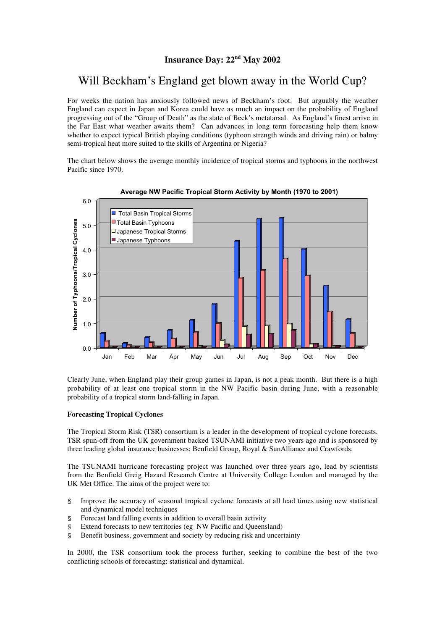## **Insurance Day: 22nd May 2002**

# Will Beckham's England get blown away in the World Cup?

For weeks the nation has anxiously followed news of Beckham's foot. But arguably the weather England can expect in Japan and Korea could have as much an impact on the probability of England progressing out of the "Group of Death" as the state of Beck's metatarsal. As England's finest arrive in the Far East what weather awaits them? Can advances in long term forecasting help them know whether to expect typical British playing conditions (typhoon strength winds and driving rain) or balmy semi-tropical heat more suited to the skills of Argentina or Nigeria?

The chart below shows the average monthly incidence of tropical storms and typhoons in the northwest Pacific since 1970.



### **Average NW Pacific Tropical Storm Activity by Month (1970 to 2001)**

Clearly June, when England play their group games in Japan, is not a peak month. But there is a high probability of at least one tropical storm in the NW Pacific basin during June, with a reasonable probability of a tropical storm land-falling in Japan.

#### **Forecasting Tropical Cyclones**

The Tropical Storm Risk (TSR) consortium is a leader in the development of tropical cyclone forecasts. TSR spun-off from the UK government backed TSUNAMI initiative two years ago and is sponsored by three leading global insurance businesses: Benfield Group, Royal & SunAlliance and Crawfords.

The TSUNAMI hurricane forecasting project was launched over three years ago, lead by scientists from the Benfield Greig Hazard Research Centre at University College London and managed by the UK Met Office. The aims of the project were to:

- § Improve the accuracy of seasonal tropical cyclone forecasts at all lead times using new statistical and dynamical model techniques
- § Forecast land falling events in addition to overall basin activity
- § Extend forecasts to new territories (eg NW Pacific and Queensland)
- § Benefit business, government and society by reducing risk and uncertainty

In 2000, the TSR consortium took the process further, seeking to combine the best of the two conflicting schools of forecasting: statistical and dynamical.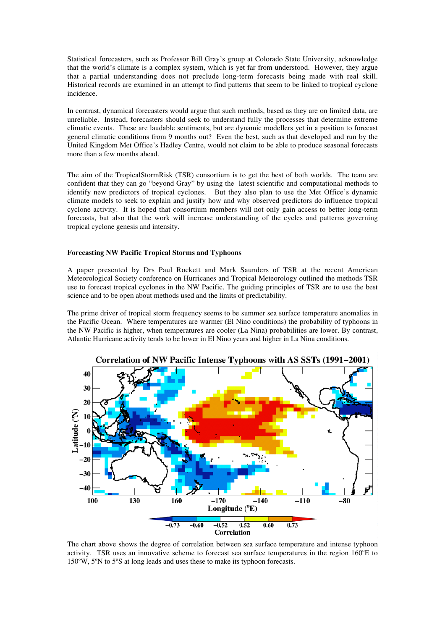Statistical forecasters, such as Professor Bill Gray's group at Colorado State University, acknowledge that the world's climate is a complex system, which is yet far from understood. However, they argue that a partial understanding does not preclude long-term forecasts being made with real skill. Historical records are examined in an attempt to find patterns that seem to be linked to tropical cyclone incidence.

In contrast, dynamical forecasters would argue that such methods, based as they are on limited data, are unreliable. Instead, forecasters should seek to understand fully the processes that determine extreme climatic events. These are laudable sentiments, but are dynamic modellers yet in a position to forecast general climatic conditions from 9 months out? Even the best, such as that developed and run by the United Kingdom Met Office's Hadley Centre, would not claim to be able to produce seasonal forecasts more than a few months ahead.

The aim of the TropicalStormRisk (TSR) consortium is to get the best of both worlds. The team are confident that they can go "beyond Gray" by using the latest scientific and computational methods to identify new predictors of tropical cyclones. But they also plan to use the Met Office's dynamic climate models to seek to explain and justify how and why observed predictors do influence tropical cyclone activity. It is hoped that consortium members will not only gain access to better long-term forecasts, but also that the work will increase understanding of the cycles and patterns governing tropical cyclone genesis and intensity.

#### **Forecasting NW Pacific Tropical Storms and Typhoons**

A paper presented by Drs Paul Rockett and Mark Saunders of TSR at the recent American Meteorological Society conference on Hurricanes and Tropical Meteorology outlined the methods TSR use to forecast tropical cyclones in the NW Pacific. The guiding principles of TSR are to use the best science and to be open about methods used and the limits of predictability.

The prime driver of tropical storm frequency seems to be summer sea surface temperature anomalies in the Pacific Ocean. Where temperatures are warmer (El Nino conditions) the probability of typhoons in the NW Pacific is higher, when temperatures are cooler (La Nina) probabilities are lower. By contrast, Atlantic Hurricane activity tends to be lower in El Nino years and higher in La Nina conditions.



The chart above shows the degree of correlation between sea surface temperature and intense typhoon activity. TSR uses an innovative scheme to forecast sea surface temperatures in the region 160°E to 150°W, 5°N to 5°S at long leads and uses these to make its typhoon forecasts.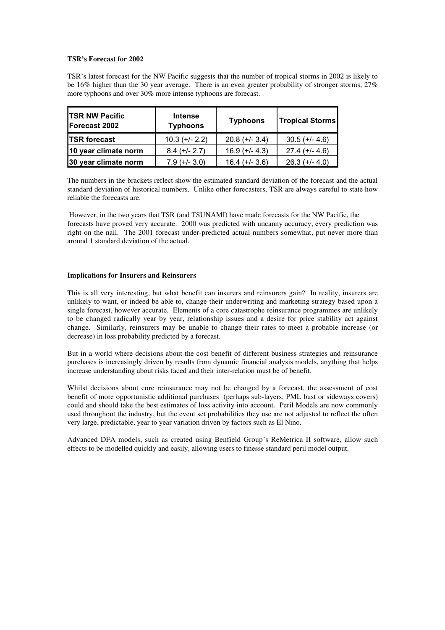#### **TSR's Forecast for 2002**

TSR's latest forecast for the NW Pacific suggests that the number of tropical storms in 2002 is likely to be 16% higher than the 30 year average. There is an even greater probability of stronger storms, 27% more typhoons and over 30% more intense typhoons are forecast.

| <b>ITSR NW Pacific</b><br>Forecast 2002 | <b>Intense</b><br><b>Typhoons</b> | <b>Typhoons</b>  | <b>Tropical Storms</b> |
|-----------------------------------------|-----------------------------------|------------------|------------------------|
| <b>TSR</b> forecast                     | $10.3 (+/- 2.2)$                  | $20.8 (+/- 3.4)$ | $30.5$ (+/- 4.6)       |
| 10 year climate norm                    | $8.4 (+/- 2.7)$                   | $16.9 (+/- 4.3)$ | $27.4 (+/- 4.6)$       |
| 30 year climate norm                    | $7.9$ (+/- 3.0)                   | $16.4 (+/- 3.6)$ | $26.3$ (+/- 4.0)       |

The numbers in the brackets reflect show the estimated standard deviation of the forecast and the actual standard deviation of historical numbers. Unlike other forecasters, TSR are always careful to state how reliable the forecasts are.

 However, in the two years that TSR (and TSUNAMI) have made forecasts for the NW Pacific, the forecasts have proved very accurate. 2000 was predicted with uncanny accuracy, every prediction was right on the nail. The 2001 forecast under-predicted actual numbers somewhat, put never more than around 1 standard deviation of the actual.

#### **Implications for Insurers and Reinsurers**

This is all very interesting, but what benefit can insurers and reinsurers gain? In reality, insurers are unlikely to want, or indeed be able to, change their underwriting and marketing strategy based upon a single forecast, however accurate. Elements of a core catastrophe reinsurance programmes are unlikely to be changed radically year by year, relationship issues and a desire for price stability act against change. Similarly, reinsurers may be unable to change their rates to meet a probable increase (or decrease) in loss probability predicted by a forecast.

But in a world where decisions about the cost benefit of different business strategies and reinsurance purchases is increasingly driven by results from dynamic financial analysis models, anything that helps increase understanding about risks faced and their inter-relation must be of benefit.

Whilst decisions about core reinsurance may not be changed by a forecast, the assessment of cost benefit of more opportunistic additional purchases (perhaps sub-layers, PML bust or sideways covers) could and should take the best estimates of loss activity into account. Peril Models are now commonly used throughout the industry, but the event set probabilities they use are not adjusted to reflect the often very large, predictable, year to year variation driven by factors such as El Nino.

Advanced DFA models, such as created using Benfield Group's ReMetrica II software, allow such effects to be modelled quickly and easily, allowing users to finesse standard peril model output.